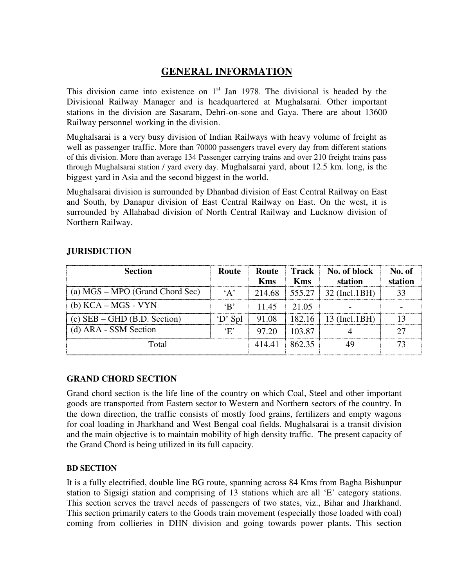# **GENERAL INFORMATION**

This division came into existence on  $1<sup>st</sup>$  Jan 1978. The divisional is headed by the Divisional Railway Manager and is headquartered at Mughalsarai. Other important stations in the division are Sasaram, Dehri-on-sone and Gaya. There are about 13600 Railway personnel working in the division.

Mughalsarai is a very busy division of Indian Railways with heavy volume of freight as well as passenger traffic. More than 70000 passengers travel every day from different stations of this division. More than average 134 Passenger carrying trains and over 210 freight trains pass through Mughalsarai station / yard every day. Mughalsarai yard, about 12.5 km. long, is the biggest yard in Asia and the second biggest in the world.

Mughalsarai division is surrounded by Dhanbad division of East Central Railway on East and South, by Danapur division of East Central Railway on East. On the west, it is surrounded by Allahabad division of North Central Railway and Lucknow division of Northern Railway.

# **JURISDICTION**

| <b>Section</b>                  | Route        |            |            | <b>Route</b> Track No. of block   | No. of  |
|---------------------------------|--------------|------------|------------|-----------------------------------|---------|
|                                 |              | <b>Kms</b> | <b>Kms</b> | station                           | station |
| (a) MGS – MPO (Grand Chord Sec) | $\lq \Delta$ |            |            | $214.68$   555.27   32 (Incl.1BH) |         |
| (b) KCA – MGS - VYN             | $\mathbf{B}$ | 1145       | 21.05      |                                   |         |
| $(c)$ SEB – GHD (B.D. Section)  | D' Spl       | 91.08      |            | $182.16$   13 (Incl. 1BH)         |         |
| (d) ARA - SSM Section           | $\cdot$ F'   | 97.20      | 103.87     |                                   |         |
| Total                           |              | 414.41     | 862.35     |                                   |         |

# **GRAND CHORD SECTION**

Grand chord section is the life line of the country on which Coal, Steel and other important goods are transported from Eastern sector to Western and Northern sectors of the country. In the down direction, the traffic consists of mostly food grains, fertilizers and empty wagons for coal loading in Jharkhand and West Bengal coal fields. Mughalsarai is a transit division and the main objective is to maintain mobility of high density traffic. The present capacity of the Grand Chord is being utilized in its full capacity.

### **BD SECTION**

It is a fully electrified, double line BG route, spanning across 84 Kms from Bagha Bishunpur station to Sigsigi station and comprising of 13 stations which are all 'E' category stations. This section serves the travel needs of passengers of two states, viz., Bihar and Jharkhand. This section primarily caters to the Goods train movement (especially those loaded with coal) coming from collieries in DHN division and going towards power plants. This section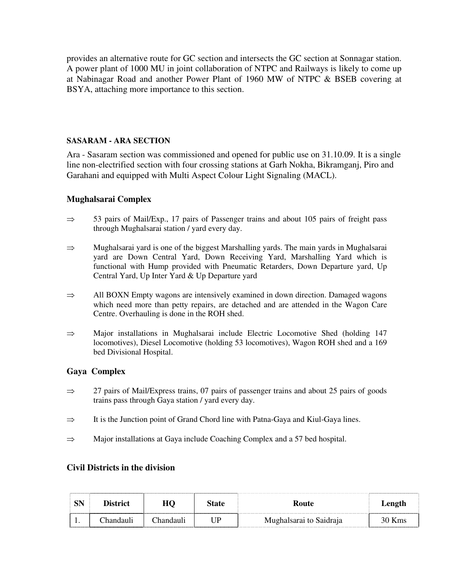provides an alternative route for GC section and intersects the GC section at Sonnagar station. A power plant of 1000 MU in joint collaboration of NTPC and Railways is likely to come up at Nabinagar Road and another Power Plant of 1960 MW of NTPC & BSEB covering at BSYA, attaching more importance to this section.

### **SASARAM - ARA SECTION**

Ara - Sasaram section was commissioned and opened for public use on 31.10.09. It is a single line non-electrified section with four crossing stations at Garh Nokha, Bikramganj, Piro and Garahani and equipped with Multi Aspect Colour Light Signaling (MACL).

### **Mughalsarai Complex**

- $\Rightarrow$  53 pairs of Mail/Exp., 17 pairs of Passenger trains and about 105 pairs of freight pass through Mughalsarai station / yard every day.
- ⇒ Mughalsarai yard is one of the biggest Marshalling yards. The main yards in Mughalsarai yard are Down Central Yard, Down Receiving Yard, Marshalling Yard which is functional with Hump provided with Pneumatic Retarders, Down Departure yard, Up Central Yard, Up Inter Yard & Up Departure yard
- $\Rightarrow$  All BOXN Empty wagons are intensively examined in down direction. Damaged wagons which need more than petty repairs, are detached and are attended in the Wagon Care Centre. Overhauling is done in the ROH shed.
- ⇒ Major installations in Mughalsarai include Electric Locomotive Shed (holding 147 locomotives), Diesel Locomotive (holding 53 locomotives), Wagon ROH shed and a 169 bed Divisional Hospital.

# **Gaya Complex**

- $\Rightarrow$  27 pairs of Mail/Express trains, 07 pairs of passenger trains and about 25 pairs of goods trains pass through Gaya station / yard every day.
- $\Rightarrow$  It is the Junction point of Grand Chord line with Patna-Gaya and Kiul-Gaya lines.
- $\Rightarrow$  Major installations at Gaya include Coaching Complex and a 57 bed hospital.

### **Civil Districts in the division**

|     | Dietrict<br>2010010101010101010101010101010101010 |             | <b>State</b> | Route                   | Length |
|-----|---------------------------------------------------|-------------|--------------|-------------------------|--------|
| . . | `handauli                                         | . :handaulı | ΙD           | Mughalsarai to Saidraja | 30 Kms |